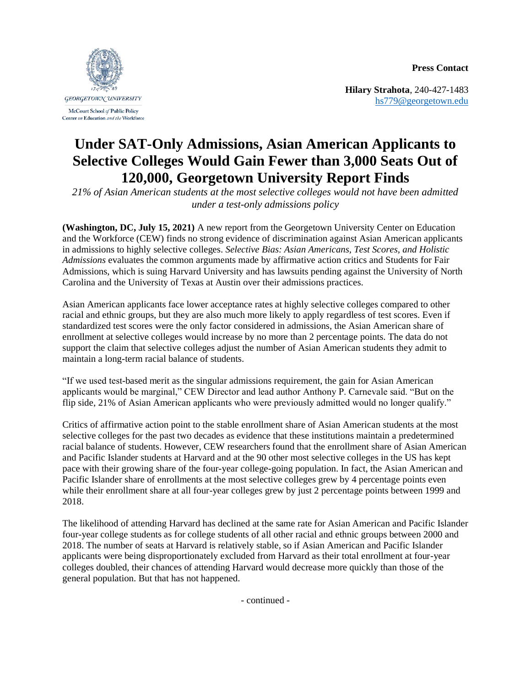**Press Contact**



Center on Education and the Workforce

**Hilary Strahota**, 240-427-1483 [hs779@georgetown.edu](mailto:hs779@georgetown.edu)

## **Under SAT-Only Admissions, Asian American Applicants to Selective Colleges Would Gain Fewer than 3,000 Seats Out of 120,000, Georgetown University Report Finds**

*21% of Asian American students at the most selective colleges would not have been admitted under a test-only admissions policy*

**(Washington, DC, July 15, 2021)** A new report from the Georgetown University Center on Education and the Workforce (CEW) finds no strong evidence of discrimination against Asian American applicants in admissions to highly selective colleges. *Selective Bias: Asian Americans, Test Scores, and Holistic Admissions* evaluates the common arguments made by affirmative action critics and Students for Fair Admissions, which is suing Harvard University and has lawsuits pending against the University of North Carolina and the University of Texas at Austin over their admissions practices.

Asian American applicants face lower acceptance rates at highly selective colleges compared to other racial and ethnic groups, but they are also much more likely to apply regardless of test scores. Even if standardized test scores were the only factor considered in admissions, the Asian American share of enrollment at selective colleges would increase by no more than 2 percentage points. The data do not support the claim that selective colleges adjust the number of Asian American students they admit to maintain a long-term racial balance of students.

"If we used test-based merit as the singular admissions requirement, the gain for Asian American applicants would be marginal," CEW Director and lead author Anthony P. Carnevale said. "But on the flip side, 21% of Asian American applicants who were previously admitted would no longer qualify."

Critics of affirmative action point to the stable enrollment share of Asian American students at the most selective colleges for the past two decades as evidence that these institutions maintain a predetermined racial balance of students. However, CEW researchers found that the enrollment share of Asian American and Pacific Islander students at Harvard and at the 90 other most selective colleges in the US has kept pace with their growing share of the four-year college-going population. In fact, the Asian American and Pacific Islander share of enrollments at the most selective colleges grew by 4 percentage points even while their enrollment share at all four-year colleges grew by just 2 percentage points between 1999 and 2018.

The likelihood of attending Harvard has declined at the same rate for Asian American and Pacific Islander four-year college students as for college students of all other racial and ethnic groups between 2000 and 2018. The number of seats at Harvard is relatively stable, so if Asian American and Pacific Islander applicants were being disproportionately excluded from Harvard as their total enrollment at four-year colleges doubled, their chances of attending Harvard would decrease more quickly than those of the general population. But that has not happened.

- continued -